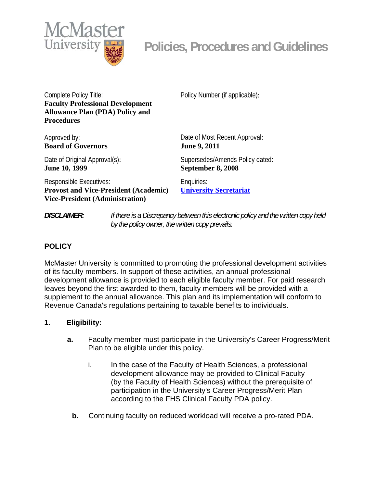

Complete Policy Title: **Faculty Professional Development Allowance Plan (PDA) Policy and Procedures** 

Approved by: **Board of Governors** 

Date of Original Approval(s): **June 10, 1999** 

Policy Number (if applicable):

Date of Most Recent Approval: **June 9, 2011** 

Supersedes/Amends Policy dated: **September 8, 2008** 

Responsible Executives: **Provost and Vice-President (Academic) Vice-President (Administration)** 

Enquiries: **[University Secretariat](mailto:policy@mcmaster.ca?subject=%20Inquiry)**

*DISCLAIMER: If there is a Discrepancy between this electronic policy and the written copy held by the policy owner, the written copy prevails.*

## **POLICY**

McMaster University is committed to promoting the professional development activities of its faculty members. In support of these activities, an annual professional development allowance is provided to each eligible faculty member. For paid research leaves beyond the first awarded to them, faculty members will be provided with a supplement to the annual allowance. This plan and its implementation will conform to Revenue Canada's regulations pertaining to taxable benefits to individuals.

## **1. Eligibility:**

- **a.** Faculty member must participate in the University's Career Progress/Merit Plan to be eligible under this policy.
	- i. In the case of the Faculty of Health Sciences, a professional development allowance may be provided to Clinical Faculty (by the Faculty of Health Sciences) without the prerequisite of participation in the University's Career Progress/Merit Plan according to the FHS Clinical Faculty PDA policy.
	- **b.** Continuing faculty on reduced workload will receive a pro-rated PDA.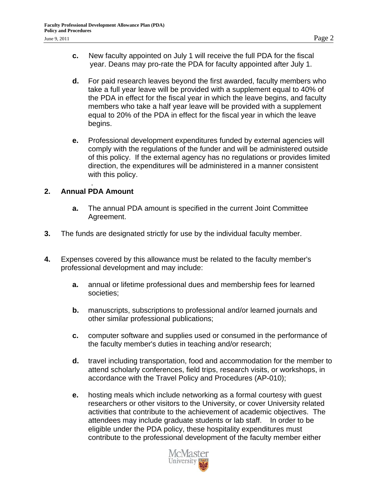- **c.** New faculty appointed on July 1 will receive the full PDA for the fiscal year. Deans may pro-rate the PDA for faculty appointed after July 1.
- **d.** For paid research leaves beyond the first awarded, faculty members who take a full year leave will be provided with a supplement equal to 40% of the PDA in effect for the fiscal year in which the leave begins, and faculty members who take a half year leave will be provided with a supplement equal to 20% of the PDA in effect for the fiscal year in which the leave begins.
- **e.** Professional development expenditures funded by external agencies will comply with the regulations of the funder and will be administered outside of this policy. If the external agency has no regulations or provides limited direction, the expenditures will be administered in a manner consistent with this policy.

## . **2. Annual PDA Amount**

- **a.** The annual PDA amount is specified in the current Joint Committee Agreement.
- **3.** The funds are designated strictly for use by the individual faculty member.
- **4.** Expenses covered by this allowance must be related to the faculty member's professional development and may include:
	- **a.** annual or lifetime professional dues and membership fees for learned societies;
	- **b.** manuscripts, subscriptions to professional and/or learned journals and other similar professional publications;
	- **c.** computer software and supplies used or consumed in the performance of the faculty member's duties in teaching and/or research;
	- **d.** travel including transportation, food and accommodation for the member to attend scholarly conferences, field trips, research visits, or workshops, in accordance with the Travel Policy and Procedures (AP-010);
	- **e.** hosting meals which include networking as a formal courtesy with guest researchers or other visitors to the University, or cover University related activities that contribute to the achievement of academic objectives. The attendees may include graduate students or lab staff. In order to be eligible under the PDA policy, these hospitality expenditures must contribute to the professional development of the faculty member either

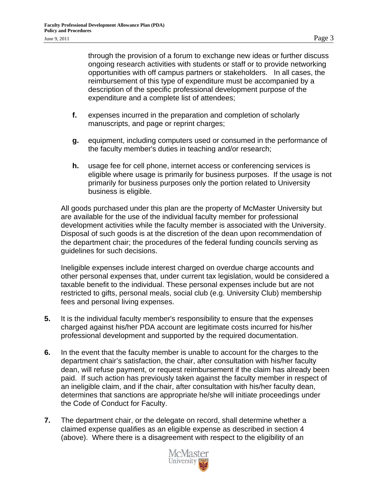through the provision of a forum to exchange new ideas or further discuss ongoing research activities with students or staff or to provide networking opportunities with off campus partners or stakeholders. In all cases, the reimbursement of this type of expenditure must be accompanied by a description of the specific professional development purpose of the expenditure and a complete list of attendees;

- **f.** expenses incurred in the preparation and completion of scholarly manuscripts, and page or reprint charges;
- **g.** equipment, including computers used or consumed in the performance of the faculty member's duties in teaching and/or research;
- **h.** usage fee for cell phone, internet access or conferencing services is eligible where usage is primarily for business purposes. If the usage is not primarily for business purposes only the portion related to University business is eligible.

All goods purchased under this plan are the property of McMaster University but are available for the use of the individual faculty member for professional development activities while the faculty member is associated with the University. Disposal of such goods is at the discretion of the dean upon recommendation of the department chair; the procedures of the federal funding councils serving as guidelines for such decisions.

Ineligible expenses include interest charged on overdue charge accounts and other personal expenses that, under current tax legislation, would be considered a taxable benefit to the individual. These personal expenses include but are not restricted to gifts, personal meals, social club (e.g. University Club) membership fees and personal living expenses.

- **5.** It is the individual faculty member's responsibility to ensure that the expenses charged against his/her PDA account are legitimate costs incurred for his/her professional development and supported by the required documentation.
- **6.** In the event that the faculty member is unable to account for the charges to the department chair's satisfaction, the chair, after consultation with his/her faculty dean, will refuse payment, or request reimbursement if the claim has already been paid. If such action has previously taken against the faculty member in respect of an ineligible claim, and if the chair, after consultation with his/her faculty dean, determines that sanctions are appropriate he/she will initiate proceedings under the Code of Conduct for Faculty.
- **7.** The department chair, or the delegate on record, shall determine whether a claimed expense qualifies as an eligible expense as described in section 4 (above). Where there is a disagreement with respect to the eligibility of an